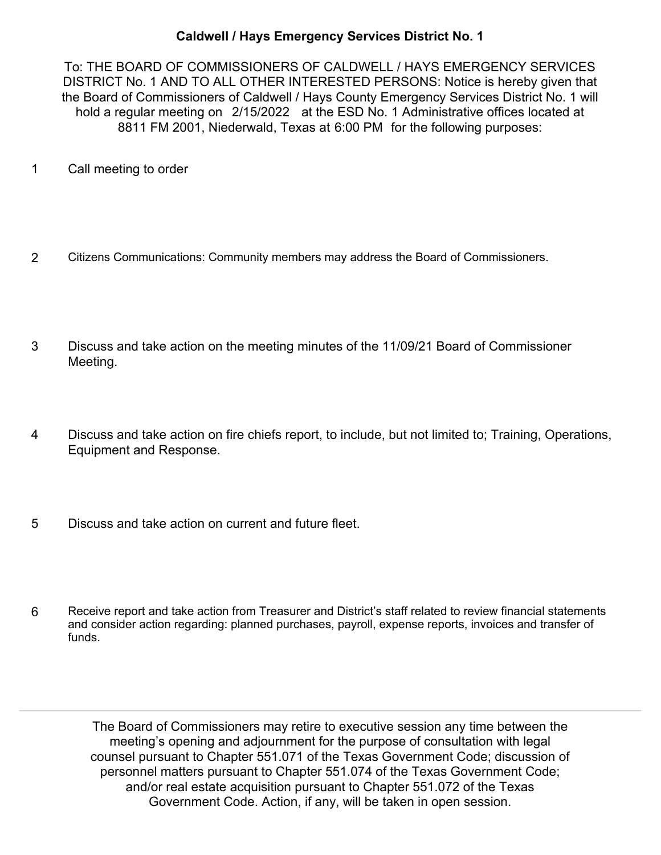## **Caldwell / Hays Emergency Services District No. 1**

To: THE BOARD OF COMMISSIONERS OF CALDWELL / HAYS EMERGENCY SERVICES DISTRICT No. 1 AND TO ALL OTHER INTERESTED PERSONS: Notice is hereby given that the Board of Commissioners of Caldwell / Hays County Emergency Services District No. 1 will hold a regular meeting on 2/15/2022 at the ESD No. 1 Administrative offices located at 8811 FM 2001, Niederwald, Texas at 6:00 PM for the following purposes:

- 1 Call meeting to order
- 2 Citizens Communications: Community members may address the Board of Commissioners.
- Discuss and take action on the meeting minutes of the 11/09/21 Board of Commissioner Meeting. 3
- Discuss and take action on fire chiefs report, to include, but not limited to; Training, Operations, Equipment and Response. 4
- 5 Discuss and take action on current and future fleet.
- Receive report and take action from Treasurer and District's staff related to review financial statements and consider action regarding: planned purchases, payroll, expense reports, invoices and transfer of funds. 6

The Board of Commissioners may retire to executive session any time between the meeting's opening and adjournment for the purpose of consultation with legal counsel pursuant to Chapter 551.071 of the Texas Government Code; discussion of personnel matters pursuant to Chapter 551.074 of the Texas Government Code; and/or real estate acquisition pursuant to Chapter 551.072 of the Texas Government Code. Action, if any, will be taken in open session.